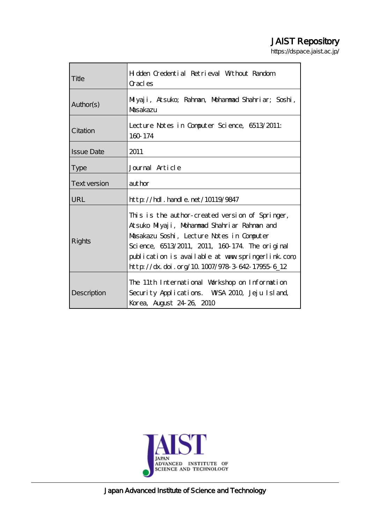# JAIST Repository

https://dspace.jaist.ac.jp/

| Title               | Holden Gredential Retrieval Without Random<br><b>Gracles</b>                                                                                                                                                                                                                                          |
|---------------------|-------------------------------------------------------------------------------------------------------------------------------------------------------------------------------------------------------------------------------------------------------------------------------------------------------|
| Author(s)           | Milyaji, Atsuko; Rahman, Mohammad Shahriar; Soshi,<br>Masakazu                                                                                                                                                                                                                                        |
| Citation            | Lecture Notes in Computer Science, 6513/2011:<br>160 174                                                                                                                                                                                                                                              |
| <b>Issue Date</b>   | 2011                                                                                                                                                                                                                                                                                                  |
| <b>Type</b>         | Journal Article                                                                                                                                                                                                                                                                                       |
| <b>Text version</b> | aut hor                                                                                                                                                                                                                                                                                               |
| <b>URL</b>          | $http$ // $rdl$ . $handl$ e. $net/10119/9847$                                                                                                                                                                                                                                                         |
| Rights              | This is the author-created version of Springer,<br>Atsuko Milyaji, Mohammad Shahriar Rahman and<br>Masakazu Soshi, Lecture Notes in Computer<br>Science, 6513/2011, 2011, 160-174. The original<br>publication is available at www.springerlink.com<br>http://dx.doi.org/10.1007/978-3-642-17955-6_12 |
| Description         | The 11th International Workshop on Information<br>Security Applications. WSA 2010, Jeju Island,<br>Korea, August 24 26, 2010                                                                                                                                                                          |



Japan Advanced Institute of Science and Technology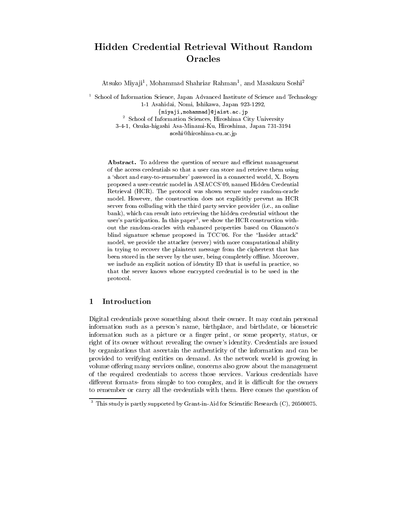## Hidden Credential Retrieval Without Random Oracles

Atsuko Miyaji<sup>1</sup>, Mohammad Shahriar Rahman<sup>1</sup>, and Masakazu Soshi<sup>2</sup>

<sup>1</sup> School of Information Science, Japan Advanced Institute of Science and Technology 1-1 Asahidai, Nomi, Ishikawa, Japan 923-1292,  $\{m$ iyaji, mohammad $\}$ @jaist.ac.jp <sup>2</sup> School of Information Sciences, Hiroshima City University 3-4-1, Ozuka-higashi Asa-Minami-Ku, Hiroshima, Japan 731-3194 soshi@hiroshima-cu.ac.jp

**Abstract.** To address the question of secure and efficient management of the access credentials so that a user can store and retrieve them using a 'short and easy-to-remember' password in a connected world, X. Boyen proposed a user-centric model in ASIACCS'09, named Hidden Credential Retrieval (HCR). The protocol was shown secure under random-oracle model. However, the construction does not explicitly prevent an HCR server from colluding with the third party service provider (i.e., an online bank), which can result into retrieving the hidden credential without the user's participation. In this paper<sup>3</sup>, we show the HCR construction without the random-oracles with enhanced properties based on Okamoto's blind signature scheme proposed in TCC'06. For the "Insider attack" model, we provide the attacker (server) with more computational ability in trying to recover the plaintext message from the ciphertext that has been stored in the server by the user, being completely offline. Moreover, we include an explicit notion of identity ID that is useful in practice, so that the server knows whose encrypted credential is to be used in the protocol.

#### $\mathbf{1}$ Introduction

Digital credentials prove something about their owner. It may contain personal information such as a person's name, birthplace, and birthdate, or biometric information such as a picture or a finger print, or some property, status, or right of its owner without revealing the owner's identity. Credentials are issued by organizations that ascertain the authenticity of the information and can be provided to verifying entities on demand. As the network world is growing in volume offering many services online, concerns also grow about the management of the required credentials to access those services. Various credentials have different formats-from simple to too complex, and it is difficult for the owners to remember or carry all the credentials with them. Here comes the question of

 $3$  This study is partly supported by Grant-in-Aid for Scientific Research (C), 20500075.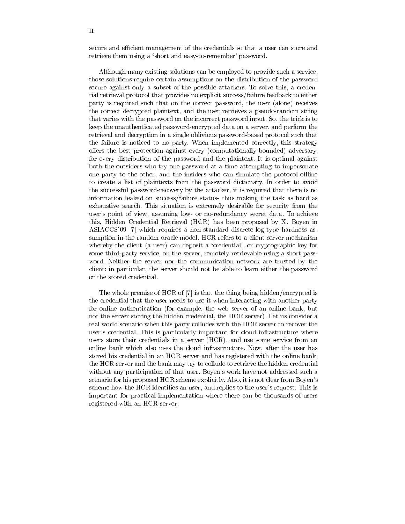secure and efficient management of the credentials so that a user can store and retrieve them using a 'short and easy-to-remember' password.

Although many existing solutions can be employed to provide such a service, those solutions require certain assumptions on the distribution of the password secure against only a subset of the possible attackers. To solve this, a credential retrieval protocol that provides no explicit success/failure feedback to either party is required such that on the correct password, the user (alone) receives the correct decrypted plaintext, and the user retrieves a pseudo-random string that varies with the password on the incorrect password input. So, the trick is to keep the unauthenticated password-encrypted data on a server, and perform the retrieval and decryption in a single oblivious password-based protocol such that the failure is noticed to no party. When implemented correctly, this strategy offers the best protection against every (computationally-bounded) adversary, for every distribution of the password and the plaintext. It is optimal against both the outsiders who try one password at a time attempting to impersonate one party to the other, and the insiders who can simulate the protocol offline to create a list of plaintexts from the password dictionary. In order to avoid the successful password-recovery by the attacker, it is required that there is no information leaked on success/failure status- thus making the task as hard as exhaustive search. This situation is extremely desirable for security from the user's point of view, assuming low- or no-redundancy secret data. To achieve this, Hidden Credential Retrieval (HCR) has been proposed by X. Boyen in ASIACCS'09 [7] which requires a non-standard discrete-log-type hardness assumption in the random-oracle model. HCR refers to a client-server mechanism whereby the client (a user) can deposit a 'credential', or cryptographic key for some third-party service, on the server, remotely retrievable using a short password. Neither the server nor the communication network are trusted by the client: in particular, the server should not be able to learn either the password or the stored credential.

The whole premise of HCR of [7] is that the thing being hidden/encrypted is the credential that the user needs to use it when interacting with another party for online authentication (for example, the web server of an online bank, but not the server storing the hidden credential, the HCR server). Let us consider a real world scenario when this party colludes with the HCR server to recover the user's credential. This is particularly important for cloud infrastructure where users store their credentials in a server (HCR), and use some service from an online bank which also uses the cloud infrastructure. Now, after the user has stored his credential in an HCR server and has registered with the online bank, the HCR server and the bank may try to collude to retrieve the hidden credential without any participation of that user. Boyen's work have not addressed such a scenario for his proposed HCR scheme explicitly. Also, it is not clear from Boyen's scheme how the HCR identifies an user, and replies to the user's request. This is important for practical implementation where there can be thousands of users registered with an HCR server.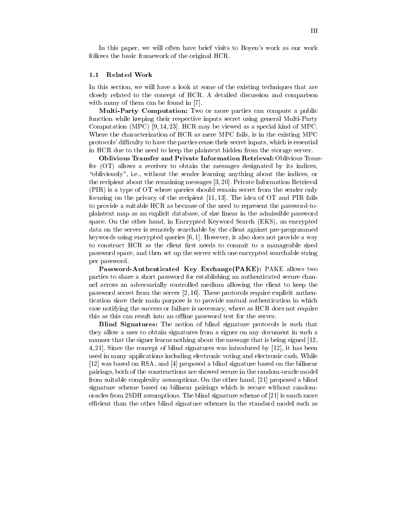In this paper, we will often have brief visits to Boyen's work as our work follows the basic framework of the original HCR.

#### $1.1\,$ **Related Work**

In this section, we will have a look at some of the existing techniques that are closely related to the concept of HCR. A detailed discussion and comparison with many of them can be found in [7].

**Multi-Party Computation:** Two or more parties can compute a public function while keeping their respective inputs secret using general Multi-Party Computation (MPC) [9,14,23]. HCR may be viewed as a special kind of MPC. Where the characterization of HCR as mere MPC fails, is in the existing MPC protocols' difficulty to have the parties reuse their secret inputs, which is essential in HCR due to the need to keep the plaintext hidden from the storage server.

**Oblivious Transfer and Private Information Retrieval: Oblivious Trans**fer (OT) allows a receiver to obtain the messages designated by its indices, "obliviously", i.e., without the sender learning anything about the indices, or the recipient about the remaining messages [3, 20]. Private Information Retrieval (PIR) is a type of OT where queries should remain secret from the sender only focusing on the privacy of the recipient  $[11, 13]$ . The idea of OT and PIR fails to provide a suitable HCR as because of the need to represent the password-toplaintext map as an explicit database, of size linear in the admissible password space. On the other hand, in Encrypted Keyword Search (EKS), an encrypted data on the server is remotely searchable by the client against pre-programmed keywords using encrypted queries  $[6, 1]$ . However, it also does not provide a way to construct HCR as the client first needs to commit to a manageable sized password space, and then set up the server with one encrypted searchable string per password.

Password-Authenticated Key Exchange(PAKE): PAKE allows two parties to share a short password for establishing an authenticated secure channel across an adversarially controlled medium allowing the client to keep the password secret from the server  $[2, 16]$ . These protocols require explicit authentication since their main purpose is to provide mutual authentication in which case notifying the success or failure is necessary, where as HCR does not require this as this can result into an offline password test for the server.

**Blind Signatures:** The notion of blind signature protocols is such that they allow a user to obtain signatures from a signer on any document in such a manner that the signer learns nothing about the message that is being signed [12, 4,21]. Since the concept of blind signatures was introduced by  $[12]$ , it has been used in many applications including electronic voting and electronic cash. While [12] was based on RSA, and [4] proposed a blind signature based on the bilinear pairings, both of the constructions are showed secure in the random-oracle model from suitable complexity assumptions. On the other hand, [21] proposed a blind signature scheme based on bilinear pairings which is secure without randomoracles from 2SDH assumptions. The blind signature scheme of [21] is much more efficient than the other blind signature schemes in the standard model such as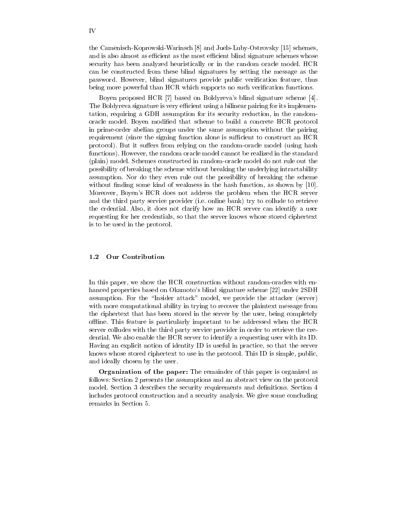the Camenisch-Koprowski-Warinsch [8] and Juels-Luby-Ostrovsky [15] schemes, and is also almost as efficient as the most efficient blind signature schemes whose security has been analyzed heuristically or in the random oracle model. HCR can be constructed from these blind signatures by setting the message as the password. However, blind signatures provide public verification feature, thus being more powerful than HCR which supports no such verification functions.

Boyen proposed HCR [7] based on Boldyreva's blind signature scheme [4]. The Boldyreva signature is very efficient using a bilinear pairing for its implementation, requiring a GDH assumption for its security reduction, in the randomoracle model. Boyen modified that scheme to build a concrete HCR protocol in prime-order abelian groups under the same assumption without the pairing requirement (since the signing function alone is sufficient to construct an HCR protocol). But it suffers from relying on the random-oracle model (using hash functions). However, the random oracle model cannot be realized in the standard (plain) model. Schemes constructed in random-oracle model do not rule out the possibility of breaking the scheme without breaking the underlying intractability assumption. Nor do they even rule out the possibility of breaking the scheme without finding some kind of weakness in the hash function, as shown by [10]. Moreover, Boyen's HCR does not address the problem when the HCR server and the third party service provider (i.e. online bank) try to collude to retrieve the crdential. Also, it does not clarify how an HCR server can identify a user requesting for her credentials, so that the server knows whose stored ciphertext is to be used in the protocol.

#### $1.2$ **Our Contribution**

In this paper, we show the HCR construction without random-oracles with enhanced properties based on Okamoto's blind signature scheme [22] under 2SDH assumption. For the "Insider attack" model, we provide the attacker (server) with more computational ability in trying to recover the plaintext message from the ciphertext that has been stored in the server by the user, being completely offline. This feature is particularly important to be addressed when the HCR server colludes with the third party service provider in order to retrieve the credential. We also enable the HCR server to identify a requesting user with its ID. Having an explicit notion of identity ID is useful in practice, so that the server knows whose stored ciphertext to use in the protocol. This ID is simple, public, and ideally chosen by the user.

**Organization of the paper:** The remainder of this paper is organized as follows: Section 2 presents the assumptions and an abstract view on the protocol model. Section 3 describes the security requirements and definitions. Section 4 includes protocol construction and a security analysis. We give some concluding remarks in Section 5.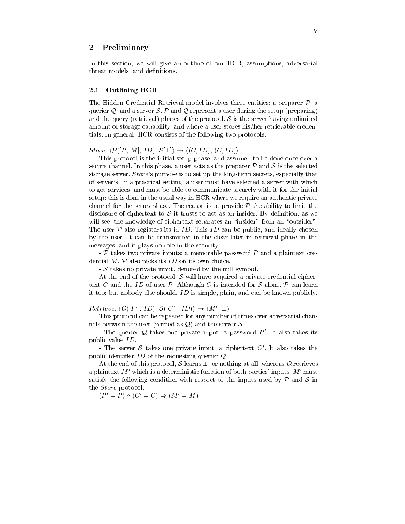#### $\boldsymbol{2}$ Preliminary

In this section, we will give an outline of our HCR, assumptions, adversarial threat models, and definitions.

#### $2.1$ **Outlining HCR**

The Hidden Credential Retrieval model involves three entities: a preparer  $\mathcal{P}$ , a querier Q, and a server S. P and Q represent a user during the setup (preparing) and the query (retrieval) phases of the protocol.  $\mathcal S$  is the server having unlimited amount of storage capability, and where a user stores his/her retrievable credentials. In general, HCR consists of the following two protocols:

## Store:  $\langle \mathcal{P}([P, M], ID), S[\bot] \rangle \rightarrow \langle (C, ID), (C, ID) \rangle$

This protocol is the initial setup phase, and assumed to be done once over a secure channel. In this phase, a user acts as the preparer  $P$  and S is the selected storage server. Store's purpose is to set up the long-term secrets, especially that of server's. In a practical setting, a user must have selected a server with which to get services, and must be able to communicate securely with it for the initial setup: this is done in the usual way in HCR where we require an authentic private channel for the setup phase. The reason is to provide  $\mathcal P$  the ability to limit the disclosure of ciphertext to  $S$  it trusts to act as an insider. By definition, as we will see, the knowledge of ciphertext separates an "insider" from an "outsider". The user  $P$  also registers its id ID. This ID can be public, and ideally chosen by the user. It can be transmitted in the clear later in retrieval phase in the messages, and it plays no role in the security.

-  $\mathcal P$  takes two private inputs: a memorable password P and a plaintext credential  $M$ .  $P$  also picks its  $ID$  on its own choice.

 $\sim$  5 takes no private input, denoted by the null symbol.

At the end of the protocol,  $S$  will have acquired a private credential ciphertext C and the ID of user P. Although C is intended for S alone, P can learn it too; but nobody else should.  $ID$  is simple, plain, and can be known publicly.

*Retrieve:*  $\langle \mathcal{Q}([P'], ID), \mathcal{S}([C'], ID) \rangle \rightarrow \langle M', \perp \rangle$ 

This protocol can be repeated for any number of times over adversarial channels between the user (named as  $\mathcal{Q}$ ) and the server  $\mathcal{S}$ .

- The querier Q takes one private input: a password  $P'$ . It also takes its public value  $ID$ .

- The server S takes one private input: a ciphertext  $C'$ . It also takes the public identifier  $ID$  of the requesting querier  $Q$ .

At the end of this protocol, S learns  $\perp$ , or nothing at all; whereas Q retrieves a plaintext  $M'$  which is a deterministic function of both parties' inputs.  $M'$  must satisfy the following condition with respect to the inputs used by  $\mathcal P$  and  $\mathcal S$  in the *Store* protocol:

 $(P' = P) \wedge (C' = C) \Rightarrow (M' = M)$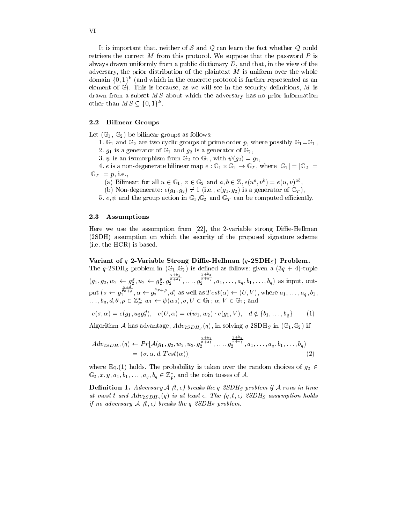It is important that, neither of S and Q can learn the fact whether Q could retrieve the correct M from this protocol. We suppose that the password  $P$  is always drawn uniformly from a public dictionary  $D$ , and that, in the view of the adversary, the prior distribution of the plaintext  $M$  is uniform over the whole domain  $\{0,1\}^k$  (and which in the concrete protocol is further represented as an element of  $\mathbb{G}$ ). This is because, as we will see in the security definitions, M is drawn from a subset  $MS$  about which the adversary has no prior information other than  $MS \subseteq \{0,1\}^k$ .

#### **Bilinear Groups**  $2.2$

Let  $(\mathbb{G}_1, \mathbb{G}_2)$  be bilinear groups as follows:

- 1.  $\mathbb{G}_1$  and  $\mathbb{G}_2$  are two cyclic groups of prime order p, where possibly  $\mathbb{G}_1 = \mathbb{G}_1$ ,
- 2.  $g_1$  is a generator of  $\mathbb{G}_1$  and  $g_2$  is a generator of  $\mathbb{G}_2$ ,
- 3.  $\psi$  is an isomorphism from  $\mathbb{G}_2$  to  $\mathbb{G}_1$ , with  $\psi(g_2) = g_1$ ,

4. *e* is a non-degenerate bilinear map  $e : \mathbb{G}_1 \times \mathbb{G}_2 \to \mathbb{G}_T$ , where  $|\mathbb{G}_1| = |\mathbb{G}_2|$  $|\mathbb{G}_T|=p$ , i.e.,

- (a) Bilinear: for all  $u \in \mathbb{G}_1$ ,  $v \in \mathbb{G}_2$  and  $a, b \in \mathbb{Z}$ ,  $e(u^a, v^b) = e(u, v)^{ab}$ ,
- (b) Non-degenerate:  $e(g_1, g_2) \neq 1$  (i.e.,  $e(g_1, g_2)$  is a generator of  $\mathbb{G}_T$ ),
- 5.  $e, \psi$  and the group action in  $\mathbb{G}_1, \mathbb{G}_2$  and  $\mathbb{G}_T$  can be computed efficiently.

#### 2.3 Assumptions

Here we use the assumption from [22], the 2-variable strong Diffie-Hellman (2SDH) assumption on which the security of the proposed signature scheme  $(i.e. the HCR)$  is based.

Variant of  $q$  2-Variable Strong Diffie-Hellman ( $q$ -2SDH<sub>S</sub>) Problem. The q-2SDH<sub>S</sub> problem in  $(\mathbb{G}_1, \mathbb{G}_2)$  is defined as follows: given a  $(3q + 4)$ -tuple<br>  $(g_1, g_2, w_2 \leftarrow g_2^x, u_2 \leftarrow g_2^y, g_2^{\frac{y+b_1}{x+a_1}}, \ldots, g_2^{\frac{y+b_q}{x+a_q}}, a_1, \ldots, a_q, b_1, \ldots, b_q)$  as input, out-<br>
put  $(\sigma \leftarrow g_1^{\frac{y+a_$ 

$$
e(\sigma,\alpha) = e(g_1, u_2g_2^d), \quad e(U,\alpha) = e(w_1, w_2) \cdot e(g_1, V), \quad d \notin \{b_1, \ldots, b_q\} \tag{1}
$$

Algorithm A has advantage,  $Adv_{2SDH_S}(q)$ , in solving q-2SDH<sub>S</sub> in  $(\mathbb{G}_1, \mathbb{G}_2)$  if

$$
Adv_{2SDH_S}(q) \leftarrow Pr[\mathcal{A}(g_1, g_2, w_2, u_2, g_2^{\frac{y+b_1}{x+a_1}}, \dots, g_2^{\frac{y+b_q}{x+a_q}}, a_1, \dots, a_q, b_1, \dots, b_q)
$$
  
=  $(\sigma, \alpha, d, Test(\alpha))]$  (2)

where Eq. (1) holds. The probability is taken over the random choices of  $g_2 \in$  $\mathbb{G}_2$ ,  $x, y, a_1, b_1, \ldots, a_q, b_q \in \mathbb{Z}_p^*$ , and the coin tosses of A.

**Definition 1.** Adversary A  $(t, \epsilon)$ -breaks the q-2SDH<sub>S</sub> problem if A runs in time at most t and  $Adv_{2SDH_S}(q)$  is at least  $\epsilon$ . The  $(q, t, \epsilon)$ -2SDH<sub>S</sub> assumption holds if no adversary A  $(t, \epsilon)$ -breaks the q-2SDH<sub>S</sub> problem.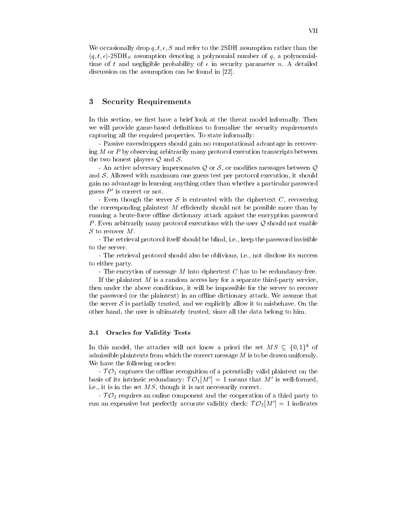We occasionally drop q, t,  $\epsilon$ , S and refer to the 2SDH assumption rather than the  $(q, t, \epsilon)$ -2SDH<sub>S</sub> assumption denoting a polynomial number of q, a polynomialtime of t and negligible probability of  $\epsilon$  in security parameter n. A detailed discussion on the assumption can be found in [22].

#### 3 **Security Requirements**

In this section, we first have a brief look at the threat model informally. Then we will provide game-based definitions to formalize the security requirements capturing all the required properties. To state informally:

- Passive eavesdroppers should gain no computational advantage in recovering  $M$  or P by observing arbitrarily many protocol execution transcripts between the two honest players  $Q$  and  $S$ .

- An active adversary impersonates Q or S, or modifies messages between Q and  $S$ . Allowed with maximum one guess test per protocol execution, it should gain no advantage in learning anything other than whether a particular password guess  $P'$  is correct or not.

- Even though the server  $S$  is entrusted with the ciphertext  $C$ , recovering the corresponding plaintext  $M$  efficiently should not be possible more than by running a brute-force offline dictionary attack against the encryption password P. Even arbitrarily many protocol executions with the user  $Q$  should not enable S to recover M.

- The retrieval protocol itself should be blind, i.e., keep the password invisible to the server.

- The retrieval protocol should also be oblivious, *i.e.*, not disclose its success to either party.

- The encrytion of message  $M$  into ciphertext  $C$  has to be redundancy-free.

If the plaintext  $M$  is a random access key for a separate third-party service. then under the above conditions, it will be impossible for the server to recover the password (or the plaintext) in an offline dictionary attack. We assume that the server  $S$  is partially trusted, and we explicitly allow it to misbehave. On the other hand, the user is ultimately trusted, since all the data belong to him.

#### $3.1$ **Oracles for Validity Tests**

In this model, the attacker will not know a priori the set  $MS \subseteq \{0,1\}^k$  of admissible plaintexts from which the correct message  $M$  is to be drawn uniformly. We have the following oracles:

 $- \mathcal{TO}_1$  captures the offline recognition of a potentially valid plaintext on the basis of its intrinsic redundancy:  $TO_1[M'] = 1$  means that M' is well-formed, i.e., it is in the set  $MS$ , though it is not necessarily correct.

 $- \mathcal{TO}_2$  requires an online component and the cooperation of a third party to run an expensive but perfectly accurate validity check:  $\mathcal{TO}_2[M'] = 1$  indicates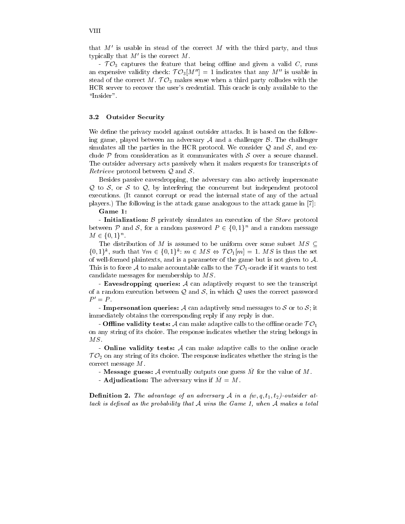that  $M'$  is usable in stead of the correct  $M$  with the third party, and thus typically that  $M'$  is the correct  $M$ .

-  $\mathcal{TO}_3$  captures the feature that being offline and given a valid C, runs an expensive validity check:  $\mathcal{TO}_3[M''] = 1$  indicates that any M'' is usable in stead of the correct M.  $TO_3$  makes sense when a third party colludes with the HCR server to recover the user's credential. This oracle is only available to the "Insider".

#### $3.2$ **Outsider Security**

We define the privacy model against outsider attacks. It is based on the following game, played between an adversary  $A$  and a challenger  $B$ . The challenger simulates all the parties in the HCR protocol. We consider  $Q$  and  $S$ , and exclude  $P$  from consideration as it communicates with  $S$  over a secure channel. The outsider adversary acts passively when it makes requests for transcripts of Retrieve protocol between  $Q$  and  $S$ .

Besides passive eavesdropping, the adversary can also actively impersonate Q to S, or S to Q, by interfering the concurrent but independent protocol executions. (It cannot corrupt or read the internal state of any of the actual players.) The following is the attack game analogous to the attack game in [7]:

## Game 1:

**- Initialization:**  $\beta$  privately simulates an execution of the *Store* protocol between P and S, for a random password  $P \in \{0,1\}^n$  and a random message  $M \in \{0,1\}^n$ .

The distribution of M is assumed to be uniform over some subset  $MS \subseteq$  $\{0,1\}^k$ , such that  $\forall m \in \{0,1\}^k$ :  $m \in MS \Leftrightarrow \mathcal{TO}_1[m] = 1$ . MS is thus the set of well-formed plaintexts, and is a parameter of the game but is not given to  $A$ . This is to force A to make accountable calls to the  $TO_1$ -oracle if it wants to test candidate messages for membership to  $MS$ .

- Eavesdropping queries:  $A$  can adaptively request to see the transcript of a random execution between Q and S, in which Q uses the correct password  $P' = P$ .

- Impersonation queries: A can adaptively send messages to S or to S; it immediately obtains the corresponding reply if any reply is due.

**- Offline validity tests:** A can make adaptive calls to the offline oracle  $TO_1$ on any string of its choice. The response indicates whether the string belongs in  $MS.$ 

- Online validity tests:  $A$  can make adaptive calls to the online oracle  $\mathcal{TO}_2$  on any string of its choice. The response indicates whether the string is the correct message  $M$ .

- Message guess:  $A$  eventually outputs one guess M for the value of M.

**- Adjudication:** The adversary wins if  $\tilde{M} = M$ .

**Definition 2.** The advantage of an adversary A in a  $(w, q, t_1, t_2)$ -outsider attack is defined as the probability that  $A$  wins the Game 1, when  $A$  makes a total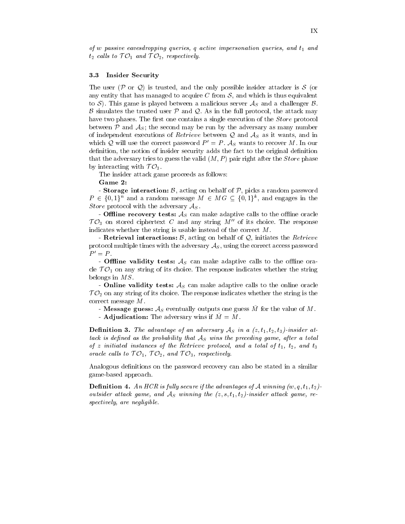of w passive eavesdropping queries, q active impersonation queries, and  $t_1$  and  $t_2$  calls to  $TO_1$  and  $TO_2$ , respectively.

#### $3.3$ **Insider Security**

The user (P or Q) is trusted, and the only possible insider attacker is S (or any entity that has managed to acquire C from  $S$ , and which is thus equivalent to S). This game is played between a malicious server  $A<sub>S</sub>$  and a challenger B.  $\beta$  simulates the trusted user  $\beta$  and  $\mathcal{Q}$ . As in the full protocol, the attack may have two phases. The first one contains a single execution of the Store protocol between P and  $A_s$ ; the second may be run by the adversary as many number of independent executions of Retrieve between Q and  $A<sub>S</sub>$  as it wants, and in which Q will use the correct password  $P' = P$ .  $A<sub>S</sub>$  wants to recover M. In our definition, the notion of insider security adds the fact to the original definition that the adversary tries to guess the valid  $(M, P)$  pair right after the *Store* phase by interacting with  $\mathcal{TO}_3$ .

The insider attack game proceeds as follows:

Game 2:

- Storage interaction:  $\beta$ , acting on behalf of  $\beta$ , picks a random password  $P \in \{0,1\}^n$  and a random message  $M \in MG \subseteq \{0,1\}^k$ , and engages in the Store protocol with the adversary  $A_S$ .

**- Offline recovery tests:**  $A<sub>S</sub>$  can make adaptive calls to the offline oracle  $TO<sub>3</sub>$  on stored ciphertext C and any string M'' of its choice. The response indicates whether the string is usable instead of the correct  $M$ .

- Retrieval interactions:  $\beta$ , acting on behalf of  $\mathcal{Q}$ , initiates the Retrieve protocol multiple times with the adversary  $A<sub>S</sub>$ , using the correct access password  $P' = P$ .

**- Offline validity tests:**  $A<sub>S</sub>$  can make adaptive calls to the offline oracle  $\mathcal{TO}_1$  on any string of its choice. The response indicates whether the string belongs in  $MS$ .

- Online validity tests:  $A<sub>S</sub>$  can make adaptive calls to the online oracle  $\mathcal{TO}_2$  on any string of its choice. The response indicates whether the string is the correct message  $M$ .

- Message guess:  $A_S$  eventually outputs one guess M for the value of M.

**- Adjudication:** The adversary wins if  $\tilde{M} = M$ .

**Definition 3.** The advantage of an adversary  $A_S$  in a  $(z, t_1, t_2, t_3)$ -insider attack is defined as the probability that  $A<sub>S</sub>$  wins the preceding game, after a total of z initiated instances of the Retrieve protocol, and a total of  $t_1$ ,  $t_2$ , and  $t_3$ oracle calls to  $TO_1$ ,  $TO_2$ , and  $TO_3$ , respectively.

Analogous definitions on the password recovery can also be stated in a similar game-based approach.

**Definition 4.** An HCR is fully secure if the advantages of A winning  $(w, q, t_1, t_2)$ . outsider attack game, and  $A<sub>S</sub>$  winning the  $(z, s, t<sub>1</sub>, t<sub>2</sub>)$ -insider attack game, respectively, are negligible.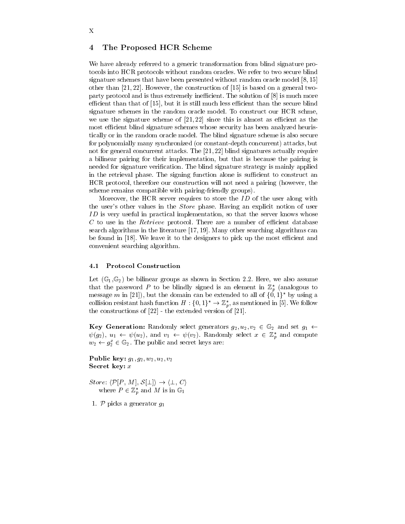#### $\overline{\mathbf{4}}$ The Proposed HCR Scheme

We have already referred to a generic transformation from blind signature protocols into HCR protocols without random oracles. We refer to two secure blind signature schemes that have been presented without random oracle model  $[8, 15]$ other than [21, 22]. However, the construction of [15] is based on a general twoparty protocol and is thus extremely inefficient. The solution of [8] is much more efficient than that of [15], but it is still much less efficient than the secure blind signature schemes in the random oracle model. To construct our HCR schme. we use the signature scheme of  $[21, 22]$  since this is almost as efficient as the most efficient blind signature schemes whose security has been analyzed heuristically or in the random oracle model. The blind signature scheme is also secure for polynomially many synchronized (or constant-depth concurrent) attacks, but not for general concurrent attacks. The [21, 22] blind signatures actually require a bilinear pairing for their implementation, but that is because the pairing is needed for signature verification. The blind signature strategy is mainly applied in the retrieval phase. The signing function alone is sufficient to construct an HCR protocol, therefore our construction will not need a pairing (however, the scheme remains compatible with pairing-friendly groups).

Moreover, the HCR server requires to store the ID of the user along with the user's other values in the *Store* phase. Having an explicit notion of user ID is very useful in practical implementation, so that the server knows whose  $C$  to use in the *Retrieve* protocol. There are a number of efficient database search algorithms in the literature  $[17, 19]$ . Many other searching algorithms can be found in [18]. We leave it to the designers to pick up the most efficient and convenient searching algorithm.

#### 4.1 **Protocol Construction**

Let  $(\mathbb{G}_1, \mathbb{G}_2)$  be bilinear groups as shown in Section 2.2. Here, we also assume that the password P to be blindly signed is an element in  $\mathbb{Z}_p^*$  (analogous to message m in [21]), but the domain can be extended to all of  $\{0,1\}^*$  by using a collision resistant hash function  $H: \{0,1\}^* \to \mathbb{Z}_p^*$ , as mentioned in [5]. We follow the constructions of  $[22]$  - the extended version of  $[21]$ .

**Key Generation:** Randomly select generators  $g_2, u_2, v_2 \in \mathbb{G}_2$  and set  $g_1 \leftarrow$  $\psi(g_2), u_1 \leftarrow \psi(u_2)$ , and  $v_1 \leftarrow \psi(v_2)$ . Randomly select  $x \in \mathbb{Z}_p^*$  and compute  $w_2 \leftarrow g_2^x \in \mathbb{G}_2$ . The public and secret keys are:

**Public key:**  $g_1, g_2, w_2, u_2, v_2$ Secret key:  $x$ 

Store:  $\langle \mathcal{P}[P, M], \mathcal{S}[\perp] \rangle \rightarrow \langle \perp, C \rangle$ where  $P \in \mathbb{Z}_p^*$  and M is in  $\mathbb{G}_1$ 

1. P picks a generator  $g_1$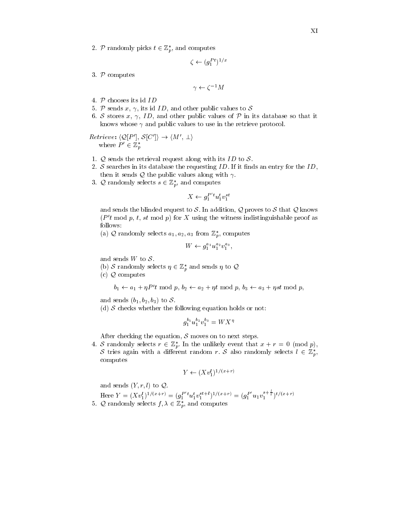2. P randomly picks  $t \in \mathbb{Z}_p^*$ , and computes

$$
\zeta \leftarrow (g_1^{Pt})^{1/s}
$$

3.  $P$  computes

$$
\gamma \leftarrow \zeta^{-1}M
$$

- 4.  $P$  chooses its id  $ID$
- 5. P sends x,  $\gamma$ , its id ID, and other public values to S
- 6. S stores x,  $\gamma$ , ID, and other public values of P in its database so that it knows whose  $\gamma$  and public values to use in the retrieve protocol.

*Retrieve:*  $\langle \mathcal{Q}[P'], \mathcal{S}[C'] \rangle \rightarrow \langle M', \perp \rangle$ where  $P' \in \mathbb{Z}_p^*$ 

- 1.  $Q$  sends the retrieval request along with its  $ID$  to  $S$ .
- 2. S searches in its database the requesting  $ID$ . If it finds an entry for the  $ID$ , then it sends  $Q$  the public values along with  $\gamma$ .
- 3.  $Q$  randomly selects  $s \in \mathbb{Z}_p^*$ , and computes

$$
X \leftarrow g_1^{P't} u_1^t v_1^{st}
$$

and sends the blinded request to  $S$ . In addition,  $Q$  proves to  $S$  that  $Q$  knows  $(P't \mod p, t, st \mod p)$  for X using the witness indistinguishable proof as follows:

(a) Q randomly selects  $a_1, a_2, a_3$  from  $\mathbb{Z}_p^*$ , computes

$$
W \leftarrow g_1^{a_1} u_1^{a_2} v_1^{a_3},
$$

and sends  $W$  to  $S$ .

- (b) S randomly selects  $\eta \in \mathbb{Z}_p^*$  and sends  $\eta$  to Q
- (c)  $Q$  computes

$$
b_1 \leftarrow a_1 + \eta P't \bmod p, b_2 \leftarrow a_2 + \eta t \bmod p, b_3 \leftarrow a_3 + \eta st \bmod p,
$$

and sends  $(b_1, b_2, b_3)$  to S.

(d)  $S$  checks whether the following equation holds or not:

$$
g_1^{b_1} u_1^{b_2} v_1^{b_3} = W X^{\eta}
$$

After checking the equation,  $S$  moves on to next steps.

4. S randomly selects  $r \in \mathbb{Z}_p^*$ . In the unlikely event that  $x + r = 0 \pmod{p}$ , S tries again with a different random r. S also randomly selects  $l \in \mathbb{Z}_p^*$ , computes

$$
Y \leftarrow (Xv_1^l)^{1/(x+r)}
$$

and sends  $(Y, r, l)$  to  $Q$ .

Here  $Y = (Xv_1^l)^{1/(x+r)} = (g_1^{P'}u_1^tv_1^{st+l})^{1/(x+r)} = (g_1^{P'}u_1v_1^{s+\frac{l}{t}})^{t/(x+r)}$ <br>5.  $Q$  randomly selects  $f, \lambda \in \mathbb{Z}_p^*$ , and computes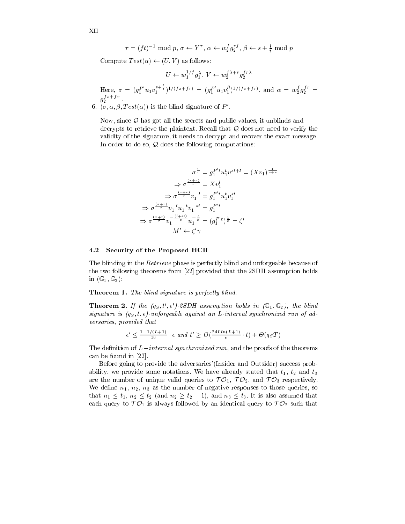$$
\tau = (ft)^{-1} \bmod p, \sigma \leftarrow Y^{\tau}, \alpha \leftarrow w_2^f g_2^{rf}, \beta \leftarrow s + \frac{l}{t} \bmod p
$$

Compute  $Test(\alpha) \leftarrow (U, V)$  as follows:

$$
U \leftarrow w_1^{1/f} g_1^{\lambda}, V \leftarrow w_2^{f\lambda + r} g_2^{fr\lambda}
$$

Here,  $\sigma = (g_1^{P'} u_1 v_1^{s + \frac{1}{t}})^{1/(f x + f r)} = (g_1^{P'} u_1 v_1^{\beta})^{1/(f x + f r)},$  and  $\alpha = w_2^f g_2^{f r} =$  $g_2^{f\,x+f\,r}$ . 6.  $(\sigma, \alpha, \beta, Test(\alpha))$  is the blind signature of P'.

Now, since  $Q$  has got all the secrets and public values, it unblinds and decrypts to retrieve the plaintext. Recall that  $\mathcal Q$  does not need to verify the validity of the signature, it needs to decrypt and recover the exact message.

In order to do so,  $Q$  does the following computations:

$$
\sigma^{\frac{1}{\tau}} = g_1^{P't} u_1^t v^{s+1} = (Xv_1)^{\frac{1}{x+\tau}}
$$

$$
\Rightarrow \sigma^{\frac{(x+r)}{\tau}} = Xv_1^l
$$

$$
\Rightarrow \sigma^{\frac{(x+r)}{\tau}} v_1^{-l} = g_1^{P't} u_1^t v_1^{st}
$$

$$
\Rightarrow \sigma^{\frac{(x+r)}{\tau}} v_1^{-l} u_1^{-t} v_1^{-st} = g_1^{P't}
$$

$$
\Rightarrow \sigma^{\frac{(x+r)}{\tau}} v_1^{-\frac{(l+s)}{x}} u_1^{-\frac{t}{x}} = (g_1^{P't})^{\frac{1}{x}} = \zeta'
$$

$$
M' \leftarrow \zeta' \gamma
$$

#### 4.2 **Security of the Proposed HCR**

The blinding in the *Retrieve* phase is perfectly blind and unforgeable because of the two following theorems from [22] provided that the 2SDH assumption holds in  $(\mathbb{G}_1, \mathbb{G}_2)$ :

### Theorem 1. The blind signature is perfectly blind.

**Theorem 2.** If the  $(q_S, t', \epsilon')$ -2SDH assumption holds in  $(\mathbb{G}_1, \mathbb{G}_2)$ , the blind signature is  $(q_S, t, \epsilon)$ -unforgeable against an L-interval synchronized run of adversaries, provided that

$$
\epsilon' \le \frac{1 - 1/(L+1)}{16} \cdot \epsilon \text{ and } t' \ge O\left(\frac{24 L \ln(L+1)}{\epsilon} \cdot t\right) + O\left(q_S T\right)
$$

The definition of  $L-interval$  synchronized run, and the proofs of the theorems can be found in [22].

Before going to provide the adversaries' (Insider and Outsider) success probability, we provide some notations. We have already stated that  $t_1$ ,  $t_2$  and  $t_3$ are the number of unique valid queries to  $TO_1$ ,  $TO_2$ , and  $TO_3$  respectively. We define  $n_1$ ,  $n_2$ ,  $n_3$  as the number of negative responses to those queries, so that  $n_1 \leq t_1$ ,  $n_2 \leq t_2$  (and  $n_2 \geq t_2 - 1$ ), and  $n_3 \leq t_3$ . It is also assumed that each query to  $\mathcal{TO}_1$  is always followed by an identical query to  $\mathcal{TO}_2$  such that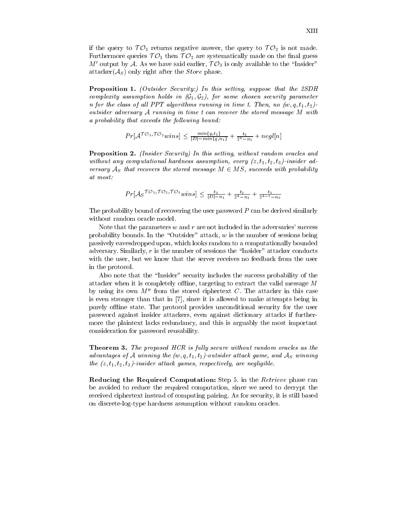if the query to  $TO_1$  returns negative answer, the query to  $TO_2$  is not made. Furthermore queries  $\mathcal{TO}_1$  then  $\mathcal{TO}_2$  are systematically made on the final guess M' output by A. As we have said earlier,  $TO_3$  is only available to the "Insider" attacker( $A_S$ ) only right after the *Store* phase.

**Proposition 1.** (Outsider Security:) In this setting, suppose that the 2SDH complexity assumption holds in  $(\mathcal{G}_1, \mathcal{G}_2)$ , for some chosen security parameter *n* for the class of all PPT algorithms running in time t. Then, no  $(w, q, t_1, t_2)$ outsider adversary A running in time t can recover the stored message M with a probability that exceeds the following bound:

$$
Pr[\mathcal{A}^{\mathcal{T}\mathcal{O}_1, \mathcal{T}\mathcal{O}_2} wins] \leq \tfrac{min\{q,t_2\}}{|D|-min\{q,n_1\}} + \tfrac{t_2}{2^k-n_1} + negl[n]
$$

**Proposition 2.** (Insider Security) In this setting, without random oracles and without any computational hardness assumption, every  $(z, t_1, t_2, t_3)$ -insider adversary  $A_S$  that recovers the stored message  $M \in MS$ , succeeds with probability at most:

$$
Pr[\mathcal{A}_{\mathcal{S}} \mathcal{T} \mathcal{O}_1, \mathcal{T} \mathcal{O}_2, \mathcal{T} \mathcal{O}_3 \, wins] \leq \tfrac{t_2}{|D| - n_1} + \tfrac{t_2}{2^k - n_1} + \tfrac{t_3}{2^{k-1} - n_3}
$$

The probability bound of recovering the user password  $P$  can be derived similarly without random oracle model.

Note that the parameters  $w$  and  $r$  are not included in the adversaries' success probability bounds. In the "Outsider" attack,  $w$  is the number of sessions being passively eavesdropped upon, which looks random to a computationally bounded adversary. Similarly,  $r$  is the number of sessions the "Insider" attacker conducts with the user, but we know that the server receives no feedback from the user in the protocol.

Also note that the "Insider" security includes the success probability of the attacker when it is completely offline, targeting to extract the valid message  $M$ by using its own  $M''$  from the stored ciphertext C. The attacker in this case is even stronger than that in [7], since it is allowed to make attempts being in purely offline state. The protocol provides unconditional security for the user password against insider attackers, even against dictionary attacks if furthermore the plaintext lacks redundancy, and this is arguably the most important consideration for password reusability.

**Theorem 3.** The proposed HCR is fully secure without random oracles as the advantages of A winning the  $(w, q, t_1, t_2)$ -outsider attack game, and  $A_s$  winning the  $(z, t_1, t_2, t_3)$ -insider attack games, respectively, are negligible.

**Reducing the Required Computation:** Step 5. in the Retrieve phase can be avoided to reduce the required computation, since we need to decrypt the received ciphertext instead of computing pairing. As for security, it is still based on discrete-log-type hardness assumption without random oracles.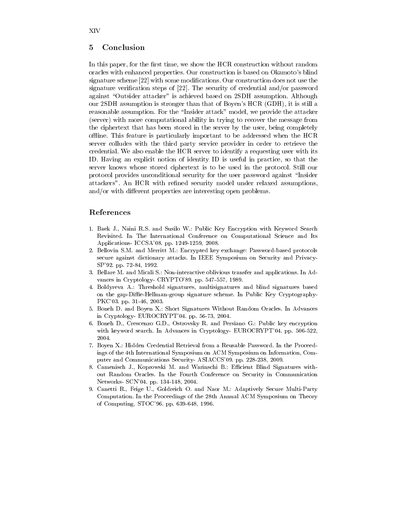#### Conclusion 5

In this paper, for the first time, we show the HCR construction without random oracles with enhanced properties. Our construction is based on Okamoto's blind signature scheme [22] with some modifications. Our construction does not use the signature verification steps of [22]. The security of credential and/or password against "Outsider attacker" is achieved based on 2SDH assumption. Although our 2SDH assumption is stronger than that of Boyen's HCR (GDH), it is still a reasonable assumption. For the "Insider attack" model, we provide the attacker (server) with more computational ability in trying to recover the message from the ciphertext that has been stored in the server by the user, being completely offline. This feature is particularly important to be addressed when the HCR server colludes with the third party service provider in order to retrieve the credential. We also enable the HCR server to identify a requesting user with its ID. Having an explicit notion of identity ID is useful in practice, so that the server knows whose stored ciphertext is to be used in the protocol. Still our protocol provides unconditional security for the user password against "Insider attackers". An HCR with refined security model under relaxed assumptions, and/or with different properties are interesting open problems.

## References

- 1. Baek J., Naini R.S. and Susilo W.: Public Key Encryption with Keyword Search Revisited. In The International Conference on Computational Science and Its Applications-ICCSA'08. pp. 1249-1259, 2008.
- 2. Bellovin S.M. and Merritt M.: Encrypted key exchange: Password-based protocols secure against dictionary attacks. In IEEE Symposium on Security and Privacy-SP'92. pp. 72-84, 1992.
- 3. Bellare M. and Micali S.: Non-interactive oblivious transfer and applications. In Advances in Cryptology- CRYPTO'89. pp. 547-557, 1989.
- 4. Boldyreva A.: Threshold signatures, multisignatures and blind signatures based on the gap-Diffie-Hellman-group signature scheme. In Public Key Cryptography-PKC'03. pp. 31-46, 2003.
- 5. Boneh D. and Boyen X.: Short Signatures Without Random Oracles. In Advances in Cryptology-EUROCRYPT'04. pp. 56-73, 2004.
- 6. Boneh D., Crescenzo G.D., Ostrovsky R. and Persiano G.: Public key encryption with keyword search. In Advances in Cryptology- EUROCRYPT'04. pp. 506-522, 2004.
- 7. Boyen X.: Hidden Credential Retrieval from a Reusable Password. In the Proceedings of the 4th International Symposium on ACM Symposium on Information, Computer and Communications Security-ASIACCS'09. pp. 228-238, 2009.
- 8. Camenisch J., Koprowski M. and Warinschi B.: Efficient Blind Signatures without Random Oracles. In the Fourth Conference on Security in Communication Networks- SCN'04. pp. 134-148, 2004.
- 9. Canetti R., Feige U., Goldreich O. and Naor M.: Adaptively Secure Multi-Party Computation. In the Proceedings of the 28th Annual ACM Symposium on Theory of Computing, STOC'96. pp. 639-648, 1996.